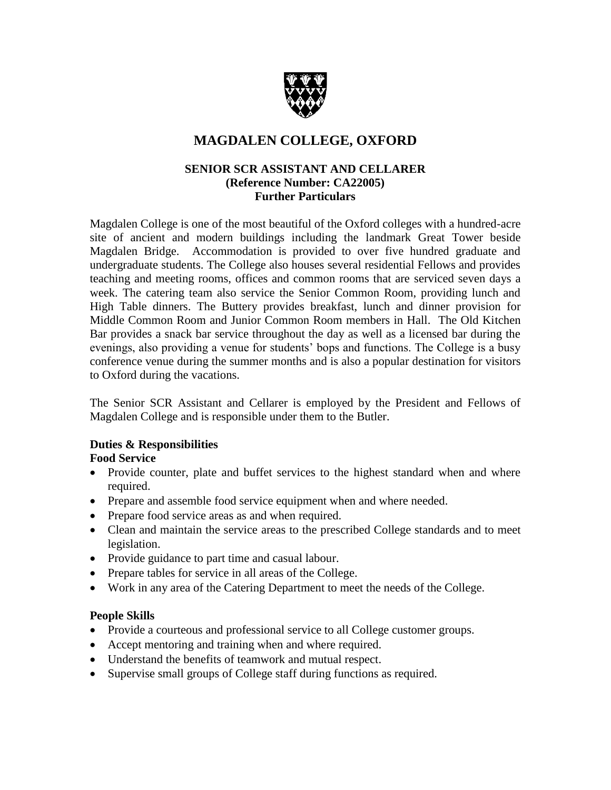

# **MAGDALEN COLLEGE, OXFORD**

## **SENIOR SCR ASSISTANT AND CELLARER (Reference Number: CA22005) Further Particulars**

Magdalen College is one of the most beautiful of the Oxford colleges with a hundred-acre site of ancient and modern buildings including the landmark Great Tower beside Magdalen Bridge. Accommodation is provided to over five hundred graduate and undergraduate students. The College also houses several residential Fellows and provides teaching and meeting rooms, offices and common rooms that are serviced seven days a week. The catering team also service the Senior Common Room, providing lunch and High Table dinners. The Buttery provides breakfast, lunch and dinner provision for Middle Common Room and Junior Common Room members in Hall. The Old Kitchen Bar provides a snack bar service throughout the day as well as a licensed bar during the evenings, also providing a venue for students' bops and functions. The College is a busy conference venue during the summer months and is also a popular destination for visitors to Oxford during the vacations.

The Senior SCR Assistant and Cellarer is employed by the President and Fellows of Magdalen College and is responsible under them to the Butler.

# **Duties & Responsibilities**

## **Food Service**

- Provide counter, plate and buffet services to the highest standard when and where required.
- Prepare and assemble food service equipment when and where needed.
- Prepare food service areas as and when required.
- Clean and maintain the service areas to the prescribed College standards and to meet legislation.
- Provide guidance to part time and casual labour.
- Prepare tables for service in all areas of the College.
- Work in any area of the Catering Department to meet the needs of the College.

#### **People Skills**

- Provide a courteous and professional service to all College customer groups.
- Accept mentoring and training when and where required.
- Understand the benefits of teamwork and mutual respect.
- Supervise small groups of College staff during functions as required.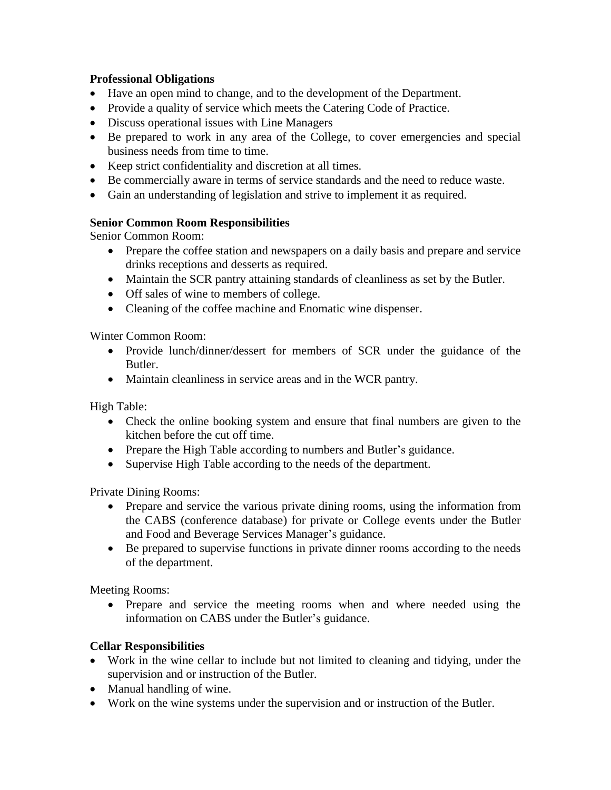## **Professional Obligations**

- Have an open mind to change, and to the development of the Department.
- Provide a quality of service which meets the Catering Code of Practice.
- Discuss operational issues with Line Managers
- Be prepared to work in any area of the College, to cover emergencies and special business needs from time to time.
- Keep strict confidentiality and discretion at all times.
- Be commercially aware in terms of service standards and the need to reduce waste.
- Gain an understanding of legislation and strive to implement it as required.

## **Senior Common Room Responsibilities**

Senior Common Room:

- Prepare the coffee station and newspapers on a daily basis and prepare and service drinks receptions and desserts as required.
- Maintain the SCR pantry attaining standards of cleanliness as set by the Butler.
- Off sales of wine to members of college.
- Cleaning of the coffee machine and Enomatic wine dispenser.

Winter Common Room:

- Provide lunch/dinner/dessert for members of SCR under the guidance of the Butler.
- Maintain cleanliness in service areas and in the WCR pantry.

High Table:

- Check the online booking system and ensure that final numbers are given to the kitchen before the cut off time.
- Prepare the High Table according to numbers and Butler's guidance.
- Supervise High Table according to the needs of the department.

Private Dining Rooms:

- Prepare and service the various private dining rooms, using the information from the CABS (conference database) for private or College events under the Butler and Food and Beverage Services Manager's guidance.
- Be prepared to supervise functions in private dinner rooms according to the needs of the department.

Meeting Rooms:

• Prepare and service the meeting rooms when and where needed using the information on CABS under the Butler's guidance.

# **Cellar Responsibilities**

- Work in the wine cellar to include but not limited to cleaning and tidying, under the supervision and or instruction of the Butler.
- Manual handling of wine.
- Work on the wine systems under the supervision and or instruction of the Butler.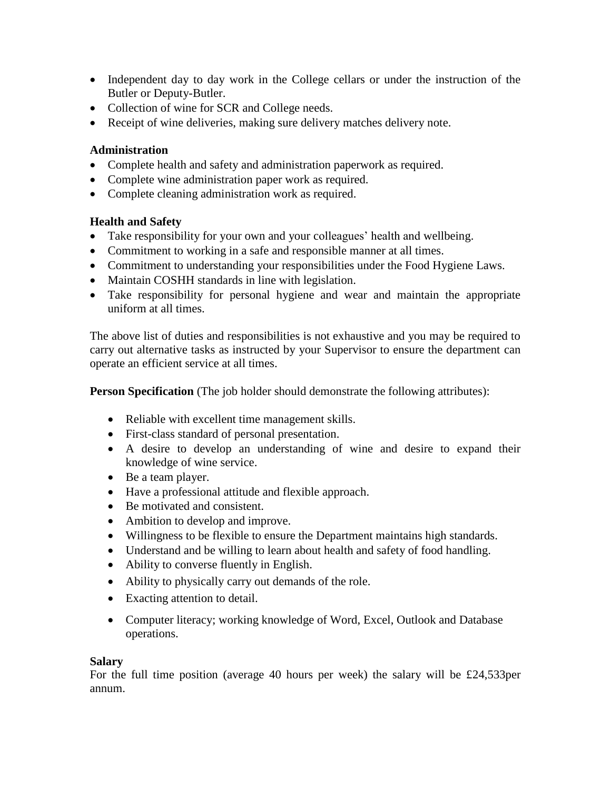- Independent day to day work in the College cellars or under the instruction of the Butler or Deputy-Butler.
- Collection of wine for SCR and College needs.
- Receipt of wine deliveries, making sure delivery matches delivery note.

### **Administration**

- Complete health and safety and administration paperwork as required.
- Complete wine administration paper work as required.
- Complete cleaning administration work as required.

## **Health and Safety**

- Take responsibility for your own and your colleagues' health and wellbeing.
- Commitment to working in a safe and responsible manner at all times.
- Commitment to understanding your responsibilities under the Food Hygiene Laws.
- Maintain COSHH standards in line with legislation.
- Take responsibility for personal hygiene and wear and maintain the appropriate uniform at all times.

The above list of duties and responsibilities is not exhaustive and you may be required to carry out alternative tasks as instructed by your Supervisor to ensure the department can operate an efficient service at all times.

**Person Specification** (The job holder should demonstrate the following attributes):

- Reliable with excellent time management skills.
- First-class standard of personal presentation.
- A desire to develop an understanding of wine and desire to expand their knowledge of wine service.
- Be a team player.
- Have a professional attitude and flexible approach.
- Be motivated and consistent.
- Ambition to develop and improve.
- Willingness to be flexible to ensure the Department maintains high standards.
- Understand and be willing to learn about health and safety of food handling.
- Ability to converse fluently in English.
- Ability to physically carry out demands of the role.
- Exacting attention to detail.
- Computer literacy; working knowledge of Word, Excel, Outlook and Database operations.

## **Salary**

For the full time position (average 40 hours per week) the salary will be £24,533per annum.